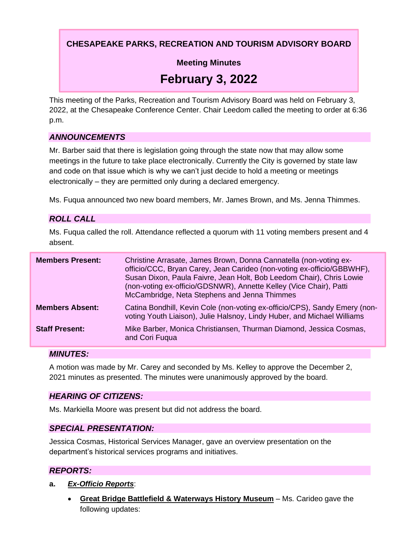**CHESAPEAKE PARKS, RECREATION AND TOURISM ADVISORY BOARD**

**Meeting Minutes**

# **February 3, 2022**

This meeting of the Parks, Recreation and Tourism Advisory Board was held on February 3, 2022, at the Chesapeake Conference Center. Chair Leedom called the meeting to order at 6:36 p.m.

## *ANNOUNCEMENTS*

Mr. Barber said that there is legislation going through the state now that may allow some meetings in the future to take place electronically. Currently the City is governed by state law and code on that issue which is why we can't just decide to hold a meeting or meetings electronically – they are permitted only during a declared emergency.

Ms. Fuqua announced two new board members, Mr. James Brown, and Ms. Jenna Thimmes.

## *ROLL CALL*

Ms. Fuqua called the roll. Attendance reflected a quorum with 11 voting members present and 4 absent.

| <b>Members Present:</b> | Christine Arrasate, James Brown, Donna Cannatella (non-voting ex-<br>officio/CCC, Bryan Carey, Jean Carideo (non-voting ex-officio/GBBWHF),<br>Susan Dixon, Paula Faivre, Jean Holt, Bob Leedom Chair), Chris Lowie<br>(non-voting ex-officio/GDSNWR), Annette Kelley (Vice Chair), Patti<br>McCambridge, Neta Stephens and Jenna Thimmes |
|-------------------------|-------------------------------------------------------------------------------------------------------------------------------------------------------------------------------------------------------------------------------------------------------------------------------------------------------------------------------------------|
| <b>Members Absent:</b>  | Catina Bondhill, Kevin Cole (non-voting ex-officio/CPS), Sandy Emery (non-<br>voting Youth Liaison), Julie Halsnoy, Lindy Huber, and Michael Williams                                                                                                                                                                                     |
| <b>Staff Present:</b>   | Mike Barber, Monica Christiansen, Thurman Diamond, Jessica Cosmas,<br>and Cori Fugua                                                                                                                                                                                                                                                      |

#### *MINUTES:*

A motion was made by Mr. Carey and seconded by Ms. Kelley to approve the December 2, 2021 minutes as presented. The minutes were unanimously approved by the board.

## *HEARING OF CITIZENS:*

Ms. Markiella Moore was present but did not address the board.

## *SPECIAL PRESENTATION:*

Jessica Cosmas, Historical Services Manager, gave an overview presentation on the department's historical services programs and initiatives.

## *REPORTS:*

- **a.** *Ex-Officio Reports*:
	- **Great Bridge Battlefield & Waterways History Museum** Ms. Carideo gave the following updates: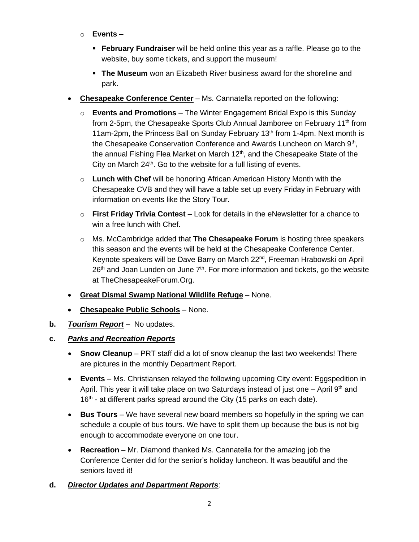- o **Events**
	- **February Fundraiser** will be held online this year as a raffle. Please go to the website, buy some tickets, and support the museum!
	- **The Museum** won an Elizabeth River business award for the shoreline and park.
- **Chesapeake Conference Center** Ms. Cannatella reported on the following:
	- o **Events and Promotions** The Winter Engagement Bridal Expo is this Sunday from 2-5pm, the Chesapeake Sports Club Annual Jamboree on February 11<sup>th</sup> from 11am-2pm, the Princess Ball on Sunday February 13<sup>th</sup> from 1-4pm. Next month is the Chesapeake Conservation Conference and Awards Luncheon on March 9<sup>th</sup>, the annual Fishing Flea Market on March 12<sup>th</sup>, and the Chesapeake State of the City on March  $24<sup>th</sup>$ . Go to the website for a full listing of events.
	- o **Lunch with Chef** will be honoring African American History Month with the Chesapeake CVB and they will have a table set up every Friday in February with information on events like the Story Tour.
	- o **First Friday Trivia Contest**  Look for details in the eNewsletter for a chance to win a free lunch with Chef.
	- o Ms. McCambridge added that **The Chesapeake Forum** is hosting three speakers this season and the events will be held at the Chesapeake Conference Center. Keynote speakers will be Dave Barry on March 22<sup>nd</sup>, Freeman Hrabowski on April  $26<sup>th</sup>$  and Joan Lunden on June  $7<sup>th</sup>$ . For more information and tickets, go the website at TheChesapeakeForum.Org.
- **Great Dismal Swamp National Wildlife Refuge** None.
- **Chesapeake Public Schools** None.
- **b.** *Tourism Report* No updates.
- **c.** *Parks and Recreation Reports*
	- **Snow Cleanup**  PRT staff did a lot of snow cleanup the last two weekends! There are pictures in the monthly Department Report.
	- **Events** Ms. Christiansen relayed the following upcoming City event: Eggspedition in April. This year it will take place on two Saturdays instead of just one  $-$  April 9<sup>th</sup> and 16<sup>th</sup> - at different parks spread around the City (15 parks on each date).
	- **Bus Tours** We have several new board members so hopefully in the spring we can schedule a couple of bus tours. We have to split them up because the bus is not big enough to accommodate everyone on one tour.
	- **Recreation** Mr. Diamond thanked Ms. Cannatella for the amazing job the Conference Center did for the senior's holiday luncheon. It was beautiful and the seniors loved it!

# **d.** *Director Updates and Department Reports*: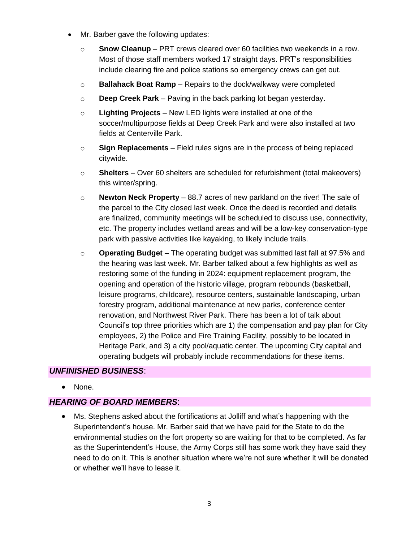- Mr. Barber gave the following updates:
	- o **Snow Cleanup** PRT crews cleared over 60 facilities two weekends in a row. Most of those staff members worked 17 straight days. PRT's responsibilities include clearing fire and police stations so emergency crews can get out.
	- o **Ballahack Boat Ramp**  Repairs to the dock/walkway were completed
	- o **Deep Creek Park**  Paving in the back parking lot began yesterday.
	- o **Lighting Projects** New LED lights were installed at one of the soccer/multipurpose fields at Deep Creek Park and were also installed at two fields at Centerville Park.
	- o **Sign Replacements** Field rules signs are in the process of being replaced citywide.
	- o **Shelters** Over 60 shelters are scheduled for refurbishment (total makeovers) this winter/spring.
	- o **Newton Neck Property** 88.7 acres of new parkland on the river! The sale of the parcel to the City closed last week. Once the deed is recorded and details are finalized, community meetings will be scheduled to discuss use, connectivity, etc. The property includes wetland areas and will be a low-key conservation-type park with passive activities like kayaking, to likely include trails.
	- o **Operating Budget** The operating budget was submitted last fall at 97.5% and the hearing was last week. Mr. Barber talked about a few highlights as well as restoring some of the funding in 2024: equipment replacement program, the opening and operation of the historic village, program rebounds (basketball, leisure programs, childcare), resource centers, sustainable landscaping, urban forestry program, additional maintenance at new parks, conference center renovation, and Northwest River Park. There has been a lot of talk about Council's top three priorities which are 1) the compensation and pay plan for City employees, 2) the Police and Fire Training Facility, possibly to be located in Heritage Park, and 3) a city pool/aquatic center. The upcoming City capital and operating budgets will probably include recommendations for these items.

## *UNFINISHED BUSINESS*:

• None.

## *HEARING OF BOARD MEMBERS*:

• Ms. Stephens asked about the fortifications at Jolliff and what's happening with the Superintendent's house. Mr. Barber said that we have paid for the State to do the environmental studies on the fort property so are waiting for that to be completed. As far as the Superintendent's House, the Army Corps still has some work they have said they need to do on it. This is another situation where we're not sure whether it will be donated or whether we'll have to lease it.